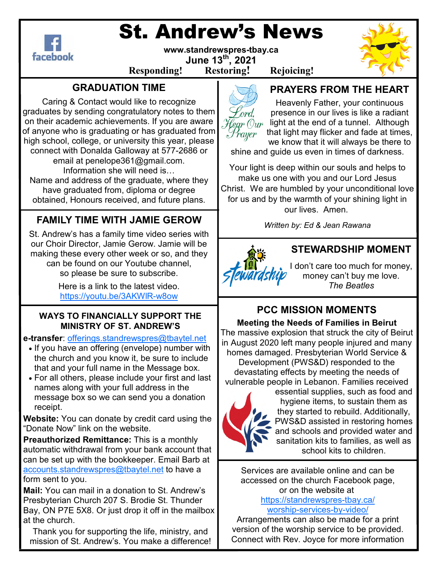

# St. Andrew's News

**www.standrewspres-tbay.ca June 13th, 2021** 

# **Responding! Restoring! Rejoicing!**

# **GRADUATION TIME**

Caring & Contact would like to recognize graduates by sending congratulatory notes to them on their academic achievements. If you are aware of anyone who is graduating or has graduated from high school, college, or university this year, please connect with Donalda Galloway at 577-2686 or

email at penelope361@gmail.com. Information she will need is... Name and address of the graduate, where they

have graduated from, diploma or degree obtained, Honours received, and future plans.

# **FAMILY TIME WITH JAMIE GEROW**

St. Andrew's has a family time video series with our Choir Director, Jamie Gerow. Jamie will be making these every other week or so, and they can be found on our Youtube channel, so please be sure to subscribe.

> Here is a link to the latest video. https://youtu.be/3AKWlR-w8ow

### **WAYS TO FINANCIALLY SUPPORT THE MINISTRY OF ST. ANDREW'S**

**e-transfer**: offerings.standrewspres@tbaytel.net

- If you have an offering (envelope) number with the church and you know it, be sure to include that and your full name in the Message box.
- For all others, please include your first and last names along with your full address in the message box so we can send you a donation receipt.

**Website:** You can donate by credit card using the "Donate Now" link on the website.

**Preauthorized Remittance:** This is a monthly automatic withdrawal from your bank account that can be set up with the bookkeeper. Email Barb at accounts.standrewspres@tbaytel.net to have a form sent to you.

**Mail:** You can mail in a donation to St. Andrew's Presbyterian Church 207 S. Brodie St. Thunder Bay, ON P7E 5X8. Or just drop it off in the mailbox at the church.

Thank you for supporting the life, ministry, and mission of St. Andrew's. You make a difference!



# **PRAYERS FROM THE HEART**

Heavenly Father, your continuous presence in our lives is like a radiant  $H_{\ell q r}$  ( $\partial_{\mu r}$  light at the end of a tunnel. Although that light may flicker and fade at times, we know that it will always be there to

shine and guide us even in times of darkness.

Your light is deep within our souls and helps to make us one with you and our Lord Jesus Christ. We are humbled by your unconditional love for us and by the warmth of your shining light in our lives. Amen.

*Written by: Ed & Jean Rawana* 



### **STEWARDSHIP MOMENT**

I don't care too much for money, money can't buy me love. *The Beatles* 

# **PCC MISSION MOMENTS**

**Meeting the Needs of Families in Beirut**  The massive explosion that struck the city of Beirut in August 2020 left many people injured and many homes damaged. Presbyterian World Service & Development (PWS&D) responded to the devastating effects by meeting the needs of vulnerable people in Lebanon. Families received



essential supplies, such as food and hygiene items, to sustain them as they started to rebuild. Additionally, PWS&D assisted in restoring homes and schools and provided water and sanitation kits to families, as well as school kits to children.

Services are available online and can be accessed on the church Facebook page, or on the website at https://standrewspres-tbay.ca/

worship-services-by-video/

Arrangements can also be made for a print version of the worship service to be provided. Connect with Rev. Joyce for more information